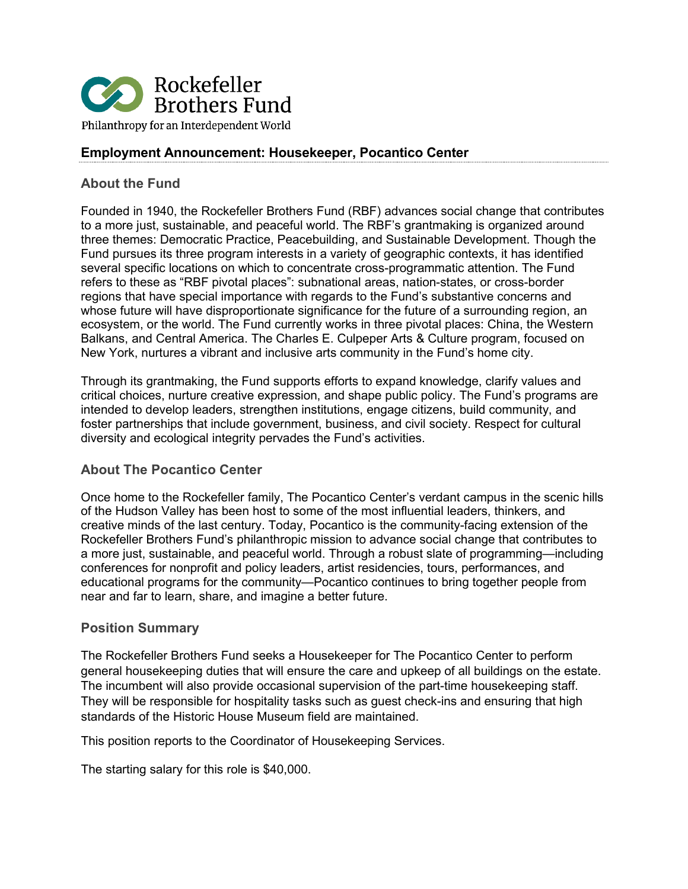

## **Employment Announcement: Housekeeper, Pocantico Center**

### **About the Fund**

Founded in 1940, the Rockefeller Brothers Fund (RBF) advances social change that contributes to a more just, sustainable, and peaceful world. The RBF's grantmaking is organized around three themes: Democratic Practice, Peacebuilding, and Sustainable Development. Though the Fund pursues its three program interests in a variety of geographic contexts, it has identified several specific locations on which to concentrate cross-programmatic attention. The Fund refers to these as "RBF pivotal places": subnational areas, nation-states, or cross-border regions that have special importance with regards to the Fund's substantive concerns and whose future will have disproportionate significance for the future of a surrounding region, an ecosystem, or the world. The Fund currently works in three pivotal places: China, the Western Balkans, and Central America. The Charles E. Culpeper Arts & Culture program, focused on New York, nurtures a vibrant and inclusive arts community in the Fund's home city.

Through its grantmaking, the Fund supports efforts to expand knowledge, clarify values and critical choices, nurture creative expression, and shape public policy. The Fund's programs are intended to develop leaders, strengthen institutions, engage citizens, build community, and foster partnerships that include government, business, and civil society. Respect for cultural diversity and ecological integrity pervades the Fund's activities.

### **About The Pocantico Center**

Once home to the Rockefeller family, The Pocantico Center's verdant campus in the scenic hills of the Hudson Valley has been host to some of the most influential leaders, thinkers, and creative minds of the last century. Today, Pocantico is the community-facing extension of the Rockefeller Brothers Fund's philanthropic mission to advance social change that contributes to a more just, sustainable, and peaceful world. Through a robust slate of programming—including conferences for nonprofit and policy leaders, artist residencies, tours, performances, and educational programs for the community—Pocantico continues to bring together people from near and far to learn, share, and imagine a better future.

#### **Position Summary**

The Rockefeller Brothers Fund seeks a Housekeeper for The Pocantico Center to perform general housekeeping duties that will ensure the care and upkeep of all buildings on the estate. The incumbent will also provide occasional supervision of the part-time housekeeping staff. They will be responsible for hospitality tasks such as guest check-ins and ensuring that high standards of the Historic House Museum field are maintained.

This position reports to the Coordinator of Housekeeping Services.

The starting salary for this role is \$40,000.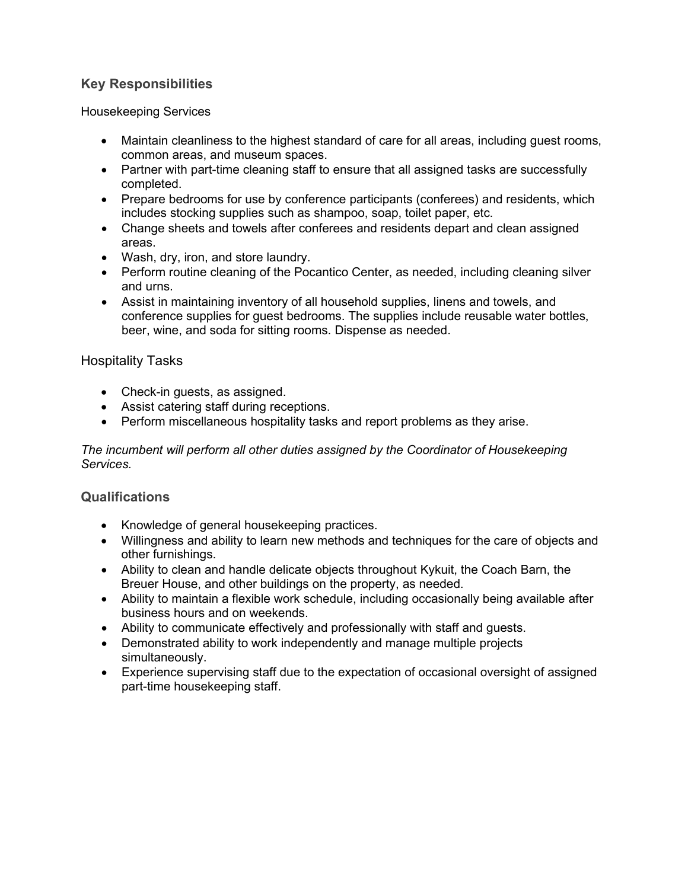# **Key Responsibilities**

Housekeeping Services

- Maintain cleanliness to the highest standard of care for all areas, including guest rooms, common areas, and museum spaces.
- Partner with part-time cleaning staff to ensure that all assigned tasks are successfully completed.
- Prepare bedrooms for use by conference participants (conferees) and residents, which includes stocking supplies such as shampoo, soap, toilet paper, etc.
- Change sheets and towels after conferees and residents depart and clean assigned areas.
- Wash, dry, iron, and store laundry.
- Perform routine cleaning of the Pocantico Center, as needed, including cleaning silver and urns.
- Assist in maintaining inventory of all household supplies, linens and towels, and conference supplies for guest bedrooms. The supplies include reusable water bottles, beer, wine, and soda for sitting rooms. Dispense as needed.

## Hospitality Tasks

- Check-in quests, as assigned.
- Assist catering staff during receptions.
- Perform miscellaneous hospitality tasks and report problems as they arise.

#### *The incumbent will perform all other duties assigned by the Coordinator of Housekeeping Services.*

### **Qualifications**

- Knowledge of general housekeeping practices.
- Willingness and ability to learn new methods and techniques for the care of objects and other furnishings.
- Ability to clean and handle delicate objects throughout Kykuit, the Coach Barn, the Breuer House, and other buildings on the property, as needed.
- Ability to maintain a flexible work schedule, including occasionally being available after business hours and on weekends.
- Ability to communicate effectively and professionally with staff and guests.
- Demonstrated ability to work independently and manage multiple projects simultaneously.
- Experience supervising staff due to the expectation of occasional oversight of assigned part-time housekeeping staff.